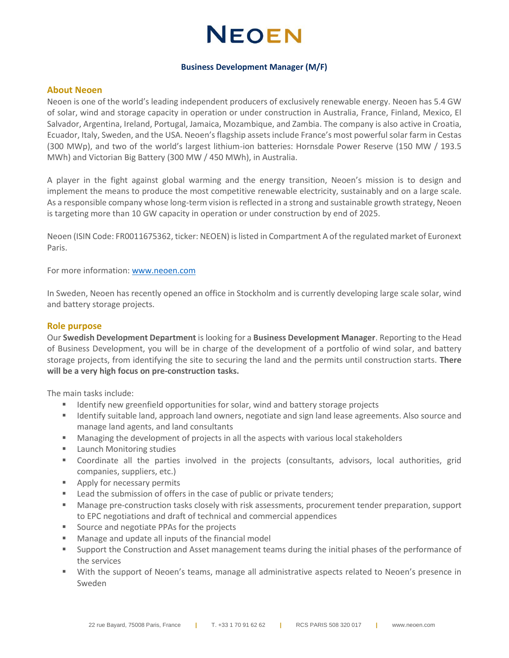## **NEOEN**

#### **Business Development Manager (M/F)**

#### **About Neoen**

Neoen is one of the world's leading independent producers of exclusively renewable energy. Neoen has 5.4 GW of solar, wind and storage capacity in operation or under construction in Australia, France, Finland, Mexico, El Salvador, Argentina, Ireland, Portugal, Jamaica, Mozambique, and Zambia. The company is also active in Croatia, Ecuador, Italy, Sweden, and the USA. Neoen's flagship assets include France's most powerful solar farm in Cestas (300 MWp), and two of the world's largest lithium-ion batteries: Hornsdale Power Reserve (150 MW / 193.5 MWh) and Victorian Big Battery (300 MW / 450 MWh), in Australia.

A player in the fight against global warming and the energy transition, Neoen's mission is to design and implement the means to produce the most competitive renewable electricity, sustainably and on a large scale. As a responsible company whose long-term vision is reflected in a strong and sustainable growth strategy, Neoen is targeting more than 10 GW capacity in operation or under construction by end of 2025.

Neoen (ISIN Code: FR0011675362, ticker: NEOEN) is listed in Compartment A of the regulated market of Euronext Paris.

For more information: [www.neoen.com](http://www.neoen.com/)

In Sweden, Neoen has recently opened an office in Stockholm and is currently developing large scale solar, wind and battery storage projects.

#### **Role purpose**

Our **Swedish Development Department** is looking for a **Business Development Manager**. Reporting to the Head of Business Development, you will be in charge of the development of a portfolio of wind solar, and battery storage projects, from identifying the site to securing the land and the permits until construction starts. **There will be a very high focus on pre-construction tasks.**

The main tasks include:

- Identify new greenfield opportunities for solar, wind and battery storage projects
- Identify suitable land, approach land owners, negotiate and sign land lease agreements. Also source and manage land agents, and land consultants
- Managing the development of projects in all the aspects with various local stakeholders
- Launch Monitoring studies
- Coordinate all the parties involved in the projects (consultants, advisors, local authorities, grid companies, suppliers, etc.)
- Apply for necessary permits
- Lead the submission of offers in the case of public or private tenders;
- Manage pre-construction tasks closely with risk assessments, procurement tender preparation, support to EPC negotiations and draft of technical and commercial appendices
- Source and negotiate PPAs for the projects
- Manage and update all inputs of the financial model
- Support the Construction and Asset management teams during the initial phases of the performance of the services
- With the support of Neoen's teams, manage all administrative aspects related to Neoen's presence in Sweden